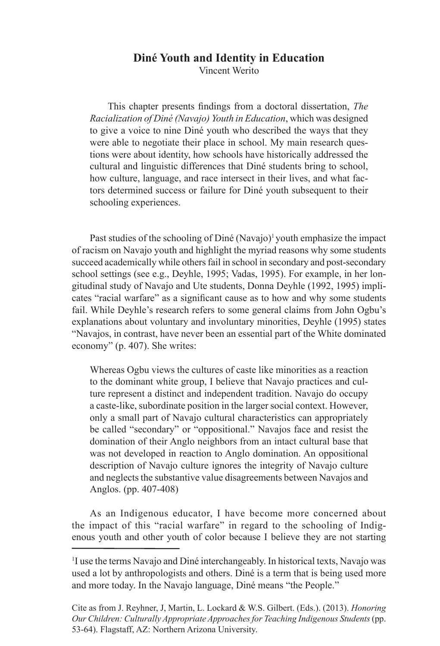#### **Diné Youth and Identity in Education** Vincent Werito

This chapter presents findings from a doctoral dissertation, *The Racialization of Diné (Navajo) Youth in Education*, which was designed to give a voice to nine Diné youth who described the ways that they were able to negotiate their place in school. My main research questions were about identity, how schools have historically addressed the cultural and linguistic differences that Diné students bring to school, how culture, language, and race intersect in their lives, and what factors determined success or failure for Diné youth subsequent to their schooling experiences.

Past studies of the schooling of Diné (Navajo)<sup>1</sup> youth emphasize the impact of racism on Navajo youth and highlight the myriad reasons why some students succeed academically while others fail in school in secondary and post-secondary school settings (see e.g., Deyhle, 1995; Vadas, 1995). For example, in her longitudinal study of Navajo and Ute students, Donna Deyhle (1992, 1995) implicates "racial warfare" as a significant cause as to how and why some students fail. While Deyhle's research refers to some general claims from John Ogbu's explanations about voluntary and involuntary minorities, Deyhle (1995) states "Navajos, in contrast, have never been an essential part of the White dominated economy" (p. 407). She writes:

Whereas Ogbu views the cultures of caste like minorities as a reaction to the dominant white group, I believe that Navajo practices and culture represent a distinct and independent tradition. Navajo do occupy a caste-like, subordinate position in the larger social context. However, only a small part of Navajo cultural characteristics can appropriately be called "secondary" or "oppositional." Navajos face and resist the domination of their Anglo neighbors from an intact cultural base that was not developed in reaction to Anglo domination. An oppositional description of Navajo culture ignores the integrity of Navajo culture and neglects the substantive value disagreements between Navajos and Anglos. (pp. 407-408)

As an Indigenous educator, I have become more concerned about the impact of this "racial warfare" in regard to the schooling of Indigenous youth and other youth of color because I believe they are not starting

<sup>&</sup>lt;sup>1</sup>I use the terms Navajo and Diné interchangeably. In historical texts, Navajo was used a lot by anthropologists and others. Diné is a term that is being used more and more today. In the Navajo language, Diné means "the People."

Cite as from J. Reyhner, J, Martin, L. Lockard & W.S. Gilbert. (Eds.). (2013). *Honoring Our Children: Culturally Appropriate Approaches for Teaching Indigenous Students* (pp. 53-64). Flagstaff, AZ: Northern Arizona University.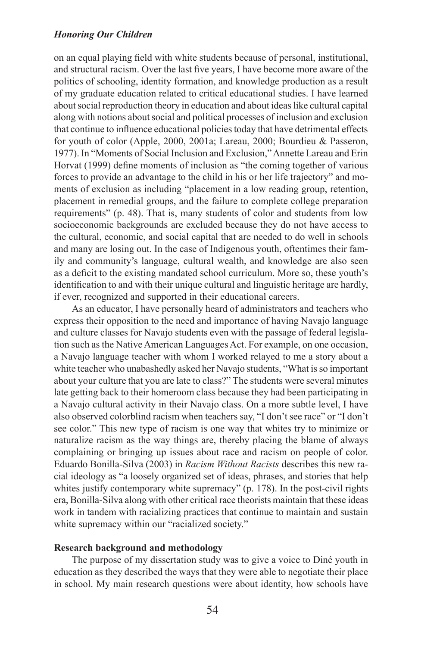on an equal playing field with white students because of personal, institutional, and structural racism. Over the last five years, I have become more aware of the politics of schooling, identity formation, and knowledge production as a result of my graduate education related to critical educational studies. I have learned about social reproduction theory in education and about ideas like cultural capital along with notions about social and political processes of inclusion and exclusion that continue to influence educational policies today that have detrimental effects for youth of color (Apple, 2000, 2001a; Lareau, 2000; Bourdieu & Passeron, 1977). In "Moments of Social Inclusion and Exclusion," Annette Lareau and Erin Horvat (1999) define moments of inclusion as "the coming together of various forces to provide an advantage to the child in his or her life trajectory" and moments of exclusion as including "placement in a low reading group, retention, placement in remedial groups, and the failure to complete college preparation requirements" (p. 48). That is, many students of color and students from low socioeconomic backgrounds are excluded because they do not have access to the cultural, economic, and social capital that are needed to do well in schools and many are losing out. In the case of Indigenous youth, oftentimes their family and community's language, cultural wealth, and knowledge are also seen as a deficit to the existing mandated school curriculum. More so, these youth's identification to and with their unique cultural and linguistic heritage are hardly, if ever, recognized and supported in their educational careers.

As an educator, I have personally heard of administrators and teachers who express their opposition to the need and importance of having Navajo language and culture classes for Navajo students even with the passage of federal legislation such as the Native American Languages Act. For example, on one occasion, a Navajo language teacher with whom I worked relayed to me a story about a white teacher who unabashedly asked her Navajo students, "What is so important about your culture that you are late to class?" The students were several minutes late getting back to their homeroom class because they had been participating in a Navajo cultural activity in their Navajo class. On a more subtle level, I have also observed colorblind racism when teachers say, "I don't see race" or "I don't see color." This new type of racism is one way that whites try to minimize or naturalize racism as the way things are, thereby placing the blame of always complaining or bringing up issues about race and racism on people of color. Eduardo Bonilla-Silva (2003) in *Racism Without Racists* describes this new racial ideology as "a loosely organized set of ideas, phrases, and stories that help whites justify contemporary white supremacy" (p. 178). In the post-civil rights era, Bonilla-Silva along with other critical race theorists maintain that these ideas work in tandem with racializing practices that continue to maintain and sustain white supremacy within our "racialized society."

## **Research background and methodology**

The purpose of my dissertation study was to give a voice to Diné youth in education as they described the ways that they were able to negotiate their place in school. My main research questions were about identity, how schools have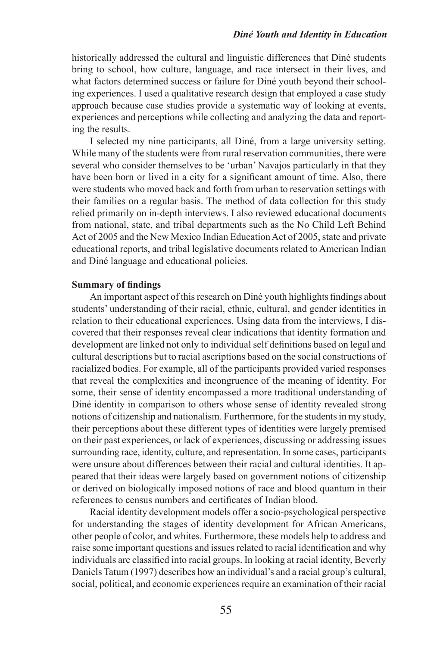historically addressed the cultural and linguistic differences that Diné students bring to school, how culture, language, and race intersect in their lives, and what factors determined success or failure for Diné youth beyond their schooling experiences. I used a qualitative research design that employed a case study approach because case studies provide a systematic way of looking at events, experiences and perceptions while collecting and analyzing the data and reporting the results.

I selected my nine participants, all Diné, from a large university setting. While many of the students were from rural reservation communities, there were several who consider themselves to be 'urban' Navajos particularly in that they have been born or lived in a city for a significant amount of time. Also, there were students who moved back and forth from urban to reservation settings with their families on a regular basis. The method of data collection for this study relied primarily on in-depth interviews. I also reviewed educational documents from national, state, and tribal departments such as the No Child Left Behind Act of 2005 and the New Mexico Indian Education Act of 2005, state and private educational reports, and tribal legislative documents related to American Indian and Diné language and educational policies.

#### **Summary of findings**

An important aspect of this research on Diné youth highlights findings about students' understanding of their racial, ethnic, cultural, and gender identities in relation to their educational experiences. Using data from the interviews, I discovered that their responses reveal clear indications that identity formation and development are linked not only to individual self definitions based on legal and cultural descriptions but to racial ascriptions based on the social constructions of racialized bodies. For example, all of the participants provided varied responses that reveal the complexities and incongruence of the meaning of identity. For some, their sense of identity encompassed a more traditional understanding of Diné identity in comparison to others whose sense of identity revealed strong notions of citizenship and nationalism. Furthermore, for the students in my study, their perceptions about these different types of identities were largely premised on their past experiences, or lack of experiences, discussing or addressing issues surrounding race, identity, culture, and representation. In some cases, participants were unsure about differences between their racial and cultural identities. It appeared that their ideas were largely based on government notions of citizenship or derived on biologically imposed notions of race and blood quantum in their references to census numbers and certificates of Indian blood.

Racial identity development models offer a socio-psychological perspective for understanding the stages of identity development for African Americans, other people of color, and whites. Furthermore, these models help to address and raise some important questions and issues related to racial identification and why individuals are classified into racial groups. In looking at racial identity, Beverly Daniels Tatum (1997) describes how an individual's and a racial group's cultural, social, political, and economic experiences require an examination of their racial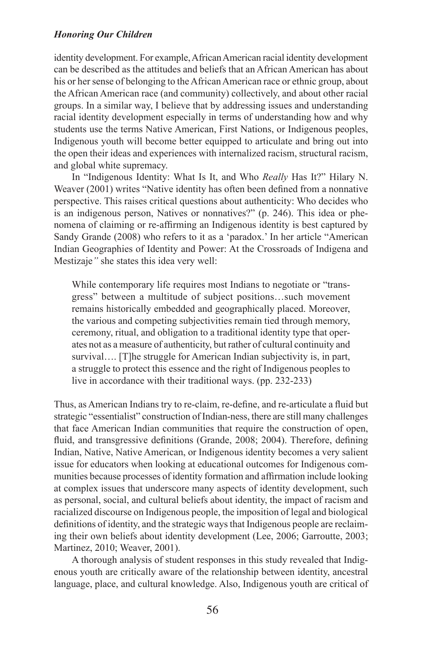identity development. For example, African American racial identity development can be described as the attitudes and beliefs that an African American has about his or her sense of belonging to the African American race or ethnic group, about the African American race (and community) collectively, and about other racial groups. In a similar way, I believe that by addressing issues and understanding racial identity development especially in terms of understanding how and why students use the terms Native American, First Nations, or Indigenous peoples, Indigenous youth will become better equipped to articulate and bring out into the open their ideas and experiences with internalized racism, structural racism, and global white supremacy.

In "Indigenous Identity: What Is It, and Who *Really* Has It?" Hilary N. Weaver (2001) writes "Native identity has often been defined from a nonnative perspective. This raises critical questions about authenticity: Who decides who is an indigenous person, Natives or nonnatives?" (p. 246). This idea or phenomena of claiming or re-affirming an Indigenous identity is best captured by Sandy Grande (2008) who refers to it as a 'paradox.' In her article "American Indian Geographies of Identity and Power: At the Crossroads of Indigena and Mestizaje*"* she states this idea very well:

While contemporary life requires most Indians to negotiate or "transgress" between a multitude of subject positions…such movement remains historically embedded and geographically placed. Moreover, the various and competing subjectivities remain tied through memory, ceremony, ritual, and obligation to a traditional identity type that operates not as a measure of authenticity, but rather of cultural continuity and survival.... [T]he struggle for American Indian subjectivity is, in part, a struggle to protect this essence and the right of Indigenous peoples to live in accordance with their traditional ways. (pp. 232-233)

Thus, as American Indians try to re-claim, re-define, and re-articulate a fluid but strategic "essentialist" construction of Indian-ness, there are still many challenges that face American Indian communities that require the construction of open, fluid, and transgressive definitions (Grande, 2008; 2004). Therefore, defining Indian, Native, Native American, or Indigenous identity becomes a very salient issue for educators when looking at educational outcomes for Indigenous communities because processes of identity formation and affirmation include looking at complex issues that underscore many aspects of identity development, such as personal, social, and cultural beliefs about identity, the impact of racism and racialized discourse on Indigenous people, the imposition of legal and biological definitions of identity, and the strategic ways that Indigenous people are reclaiming their own beliefs about identity development (Lee, 2006; Garroutte, 2003; Martinez, 2010; Weaver, 2001).

A thorough analysis of student responses in this study revealed that Indigenous youth are critically aware of the relationship between identity, ancestral language, place, and cultural knowledge. Also, Indigenous youth are critical of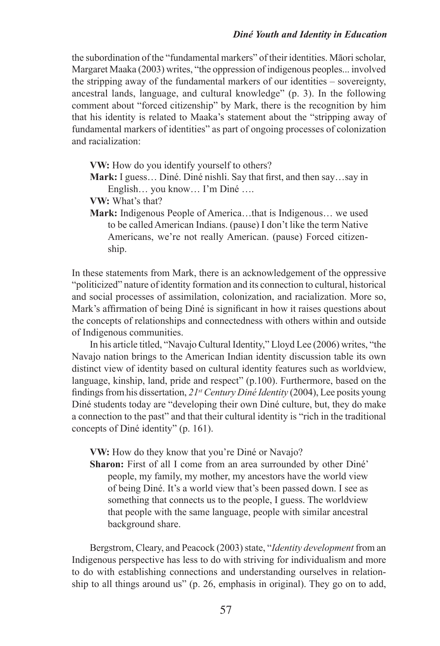the subordination of the "fundamental markers" of their identities. Māori scholar, Margaret Maaka (2003) writes, "the oppression of indigenous peoples... involved the stripping away of the fundamental markers of our identities – sovereignty, ancestral lands, language, and cultural knowledge" (p. 3). In the following comment about "forced citizenship" by Mark, there is the recognition by him that his identity is related to Maaka's statement about the "stripping away of fundamental markers of identities" as part of ongoing processes of colonization and racialization:

**VW:** How do you identify yourself to others?

**Mark:** I guess… Diné. Diné nishli. Say that first, and then say…say in English… you know… I'm Diné ….

**VW:** What's that?

**Mark:** Indigenous People of America…that is Indigenous… we used to be called American Indians. (pause) I don't like the term Native Americans, we're not really American. (pause) Forced citizenship.

In these statements from Mark, there is an acknowledgement of the oppressive "politicized" nature of identity formation and its connection to cultural, historical and social processes of assimilation, colonization, and racialization. More so, Mark's affirmation of being Diné is significant in how it raises questions about the concepts of relationships and connectedness with others within and outside of Indigenous communities.

In his article titled, "Navajo Cultural Identity," Lloyd Lee (2006) writes, "the Navajo nation brings to the American Indian identity discussion table its own distinct view of identity based on cultural identity features such as worldview, language, kinship, land, pride and respect" (p.100). Furthermore, based on the findings from his dissertation, *21st Century Diné Identity* (2004), Lee posits young Diné students today are "developing their own Diné culture, but, they do make a connection to the past" and that their cultural identity is "rich in the traditional concepts of Diné identity" (p. 161).

**VW:** How do they know that you're Diné or Navajo?

Sharon: First of all I come from an area surrounded by other Diné' people, my family, my mother, my ancestors have the world view of being Diné. It's a world view that's been passed down. I see as something that connects us to the people, I guess. The worldview that people with the same language, people with similar ancestral background share.

Bergstrom, Cleary, and Peacock (2003) state, "*Identity development* from an Indigenous perspective has less to do with striving for individualism and more to do with establishing connections and understanding ourselves in relationship to all things around us" (p. 26, emphasis in original). They go on to add,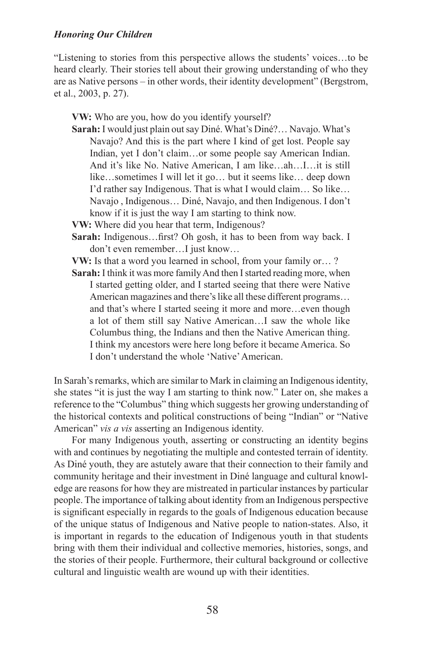"Listening to stories from this perspective allows the students' voices…to be heard clearly. Their stories tell about their growing understanding of who they are as Native persons – in other words, their identity development" (Bergstrom, et al., 2003, p. 27).

**VW:** Who are you, how do you identify yourself?

- **Sarah:** I would just plain out say Diné. What's Diné?… Navajo. What's Navajo? And this is the part where I kind of get lost. People say Indian, yet I don't claim…or some people say American Indian. And it's like No. Native American, I am like…ah…I…it is still like…sometimes I will let it go… but it seems like… deep down I'd rather say Indigenous. That is what I would claim… So like… Navajo , Indigenous… Diné, Navajo, and then Indigenous. I don't know if it is just the way I am starting to think now.
- **VW:** Where did you hear that term, Indigenous?
- **Sarah:** Indigenous…first? Oh gosh, it has to been from way back. I don't even remember…I just know…
- **VW:** Is that a word you learned in school, from your family or… ?
- Sarah: I think it was more family And then I started reading more, when I started getting older, and I started seeing that there were Native American magazines and there's like all these different programs… and that's where I started seeing it more and more…even though a lot of them still say Native American…I saw the whole like Columbus thing, the Indians and then the Native American thing. I think my ancestors were here long before it became America. So I don't understand the whole 'Native' American.

In Sarah's remarks, which are similar to Mark in claiming an Indigenous identity, she states "it is just the way I am starting to think now." Later on, she makes a reference to the "Columbus" thing which suggests her growing understanding of the historical contexts and political constructions of being "Indian" or "Native American" *vis a vis* asserting an Indigenous identity.

For many Indigenous youth, asserting or constructing an identity begins with and continues by negotiating the multiple and contested terrain of identity. As Diné youth, they are astutely aware that their connection to their family and community heritage and their investment in Diné language and cultural knowledge are reasons for how they are mistreated in particular instances by particular people. The importance of talking about identity from an Indigenous perspective is significant especially in regards to the goals of Indigenous education because of the unique status of Indigenous and Native people to nation-states. Also, it is important in regards to the education of Indigenous youth in that students bring with them their individual and collective memories, histories, songs, and the stories of their people. Furthermore, their cultural background or collective cultural and linguistic wealth are wound up with their identities.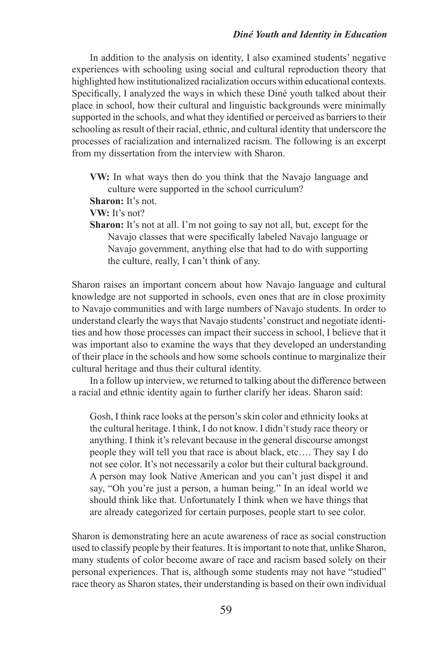## *Diné Youth and Identity in Education*

In addition to the analysis on identity, I also examined students' negative experiences with schooling using social and cultural reproduction theory that highlighted how institutionalized racialization occurs within educational contexts. Specifically, I analyzed the ways in which these Diné youth talked about their place in school, how their cultural and linguistic backgrounds were minimally supported in the schools, and what they identified or perceived as barriers to their schooling as result of their racial, ethnic, and cultural identity that underscore the processes of racialization and internalized racism. The following is an excerpt from my dissertation from the interview with Sharon.

**VW:** In what ways then do you think that the Navajo language and culture were supported in the school curriculum?

**Sharon:** It's not.

**VW:** It's not?

**Sharon:** It's not at all. I'm not going to say not all, but, except for the Navajo classes that were specifically labeled Navajo language or Navajo government, anything else that had to do with supporting the culture, really, I can't think of any.

Sharon raises an important concern about how Navajo language and cultural knowledge are not supported in schools, even ones that are in close proximity to Navajo communities and with large numbers of Navajo students. In order to understand clearly the ways that Navajo students' construct and negotiate identities and how those processes can impact their success in school, I believe that it was important also to examine the ways that they developed an understanding of their place in the schools and how some schools continue to marginalize their cultural heritage and thus their cultural identity.

In a follow up interview, we returned to talking about the difference between a racial and ethnic identity again to further clarify her ideas. Sharon said:

Gosh, I think race looks at the person's skin color and ethnicity looks at the cultural heritage. I think, I do not know. I didn't study race theory or anything. I think it's relevant because in the general discourse amongst people they will tell you that race is about black, etc…. They say I do not see color. It's not necessarily a color but their cultural background. A person may look Native American and you can't just dispel it and say, "Oh you're just a person, a human being." In an ideal world we should think like that. Unfortunately I think when we have things that are already categorized for certain purposes, people start to see color.

Sharon is demonstrating here an acute awareness of race as social construction used to classify people by their features. It is important to note that, unlike Sharon, many students of color become aware of race and racism based solely on their personal experiences. That is, although some students may not have "studied" race theory as Sharon states, their understanding is based on their own individual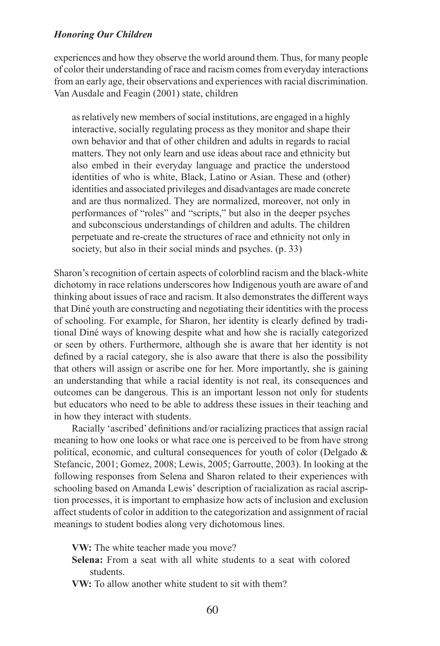experiences and how they observe the world around them. Thus, for many people of color their understanding of race and racism comes from everyday interactions from an early age, their observations and experiences with racial discrimination. Van Ausdale and Feagin (2001) state, children

as relatively new members of social institutions, are engaged in a highly interactive, socially regulating process as they monitor and shape their own behavior and that of other children and adults in regards to racial matters. They not only learn and use ideas about race and ethnicity but also embed in their everyday language and practice the understood identities of who is white, Black, Latino or Asian. These and (other) identities and associated privileges and disadvantages are made concrete and are thus normalized. They are normalized, moreover, not only in performances of "roles" and "scripts," but also in the deeper psyches and subconscious understandings of children and adults. The children perpetuate and re-create the structures of race and ethnicity not only in society, but also in their social minds and psyches. (p. 33)

Sharon's recognition of certain aspects of colorblind racism and the black-white dichotomy in race relations underscores how Indigenous youth are aware of and thinking about issues of race and racism. It also demonstrates the different ways that Diné youth are constructing and negotiating their identities with the process of schooling. For example, for Sharon, her identity is clearly defined by traditional Diné ways of knowing despite what and how she is racially categorized or seen by others. Furthermore, although she is aware that her identity is not defined by a racial category, she is also aware that there is also the possibility that others will assign or ascribe one for her. More importantly, she is gaining an understanding that while a racial identity is not real, its consequences and outcomes can be dangerous. This is an important lesson not only for students but educators who need to be able to address these issues in their teaching and in how they interact with students.

Racially 'ascribed' definitions and/or racializing practices that assign racial meaning to how one looks or what race one is perceived to be from have strong political, economic, and cultural consequences for youth of color (Delgado & Stefancic, 2001; Gomez, 2008; Lewis, 2005; Garroutte, 2003). In looking at the following responses from Selena and Sharon related to their experiences with schooling based on Amanda Lewis' description of racialization as racial ascription processes, it is important to emphasize how acts of inclusion and exclusion affect students of color in addition to the categorization and assignment of racial meanings to student bodies along very dichotomous lines.

**VW:** The white teacher made you move?

**Selena:** From a seat with all white students to a seat with colored students.

**VW:** To allow another white student to sit with them?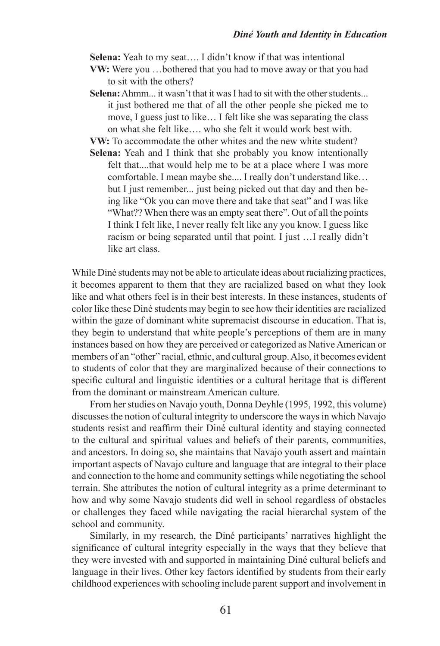**Selena:** Yeah to my seat…. I didn't know if that was intentional

- **VW:** Were you …bothered that you had to move away or that you had to sit with the others?
- **Selena:** Ahmm... it wasn't that it was I had to sit with the other students. it just bothered me that of all the other people she picked me to move, I guess just to like… I felt like she was separating the class on what she felt like…. who she felt it would work best with.
- **VW:** To accommodate the other whites and the new white student?
- **Selena:** Yeah and I think that she probably you know intentionally felt that....that would help me to be at a place where I was more comfortable. I mean maybe she.... I really don't understand like… but I just remember... just being picked out that day and then being like "Ok you can move there and take that seat" and I was like "What?? When there was an empty seat there". Out of all the points I think I felt like, I never really felt like any you know. I guess like racism or being separated until that point. I just …I really didn't like art class.

While Diné students may not be able to articulate ideas about racializing practices, it becomes apparent to them that they are racialized based on what they look like and what others feel is in their best interests. In these instances, students of color like these Diné students may begin to see how their identities are racialized within the gaze of dominant white supremacist discourse in education. That is, they begin to understand that white people's perceptions of them are in many instances based on how they are perceived or categorized as Native American or members of an "other" racial, ethnic, and cultural group. Also, it becomes evident to students of color that they are marginalized because of their connections to specific cultural and linguistic identities or a cultural heritage that is different from the dominant or mainstream American culture.

From her studies on Navajo youth, Donna Deyhle (1995, 1992, this volume) discusses the notion of cultural integrity to underscore the ways in which Navajo students resist and reaffirm their Diné cultural identity and staying connected to the cultural and spiritual values and beliefs of their parents, communities, and ancestors. In doing so, she maintains that Navajo youth assert and maintain important aspects of Navajo culture and language that are integral to their place and connection to the home and community settings while negotiating the school terrain. She attributes the notion of cultural integrity as a prime determinant to how and why some Navajo students did well in school regardless of obstacles or challenges they faced while navigating the racial hierarchal system of the school and community.

Similarly, in my research, the Diné participants' narratives highlight the significance of cultural integrity especially in the ways that they believe that they were invested with and supported in maintaining Diné cultural beliefs and language in their lives. Other key factors identified by students from their early childhood experiences with schooling include parent support and involvement in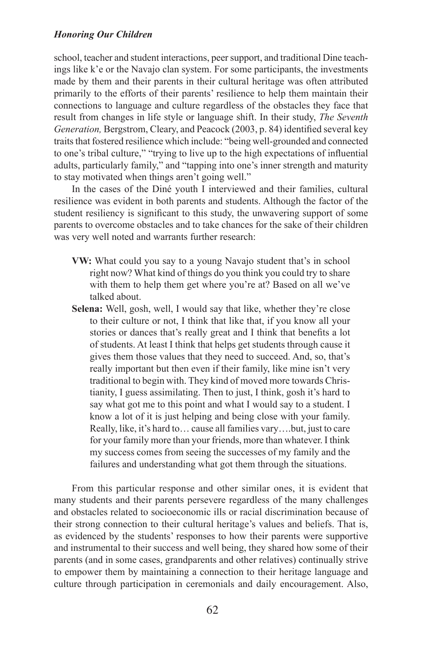school, teacher and student interactions, peer support, and traditional Dine teachings like k'e or the Navajo clan system. For some participants, the investments made by them and their parents in their cultural heritage was often attributed primarily to the efforts of their parents' resilience to help them maintain their connections to language and culture regardless of the obstacles they face that result from changes in life style or language shift. In their study, *The Seventh Generation,* Bergstrom, Cleary, and Peacock (2003, p. 84) identified several key traits that fostered resilience which include: "being well-grounded and connected to one's tribal culture," "trying to live up to the high expectations of influential adults, particularly family," and "tapping into one's inner strength and maturity to stay motivated when things aren't going well."

In the cases of the Diné youth I interviewed and their families, cultural resilience was evident in both parents and students. Although the factor of the student resiliency is significant to this study, the unwavering support of some parents to overcome obstacles and to take chances for the sake of their children was very well noted and warrants further research:

- **VW:** What could you say to a young Navajo student that's in school right now? What kind of things do you think you could try to share with them to help them get where you're at? Based on all we've talked about.
- **Selena:** Well, gosh, well, I would say that like, whether they're close to their culture or not, I think that like that, if you know all your stories or dances that's really great and I think that benefits a lot of students. At least I think that helps get students through cause it gives them those values that they need to succeed. And, so, that's really important but then even if their family, like mine isn't very traditional to begin with. They kind of moved more towards Christianity, I guess assimilating. Then to just, I think, gosh it's hard to say what got me to this point and what I would say to a student. I know a lot of it is just helping and being close with your family. Really, like, it's hard to… cause all families vary….but, just to care for your family more than your friends, more than whatever. I think my success comes from seeing the successes of my family and the failures and understanding what got them through the situations.

From this particular response and other similar ones, it is evident that many students and their parents persevere regardless of the many challenges and obstacles related to socioeconomic ills or racial discrimination because of their strong connection to their cultural heritage's values and beliefs. That is, as evidenced by the students' responses to how their parents were supportive and instrumental to their success and well being, they shared how some of their parents (and in some cases, grandparents and other relatives) continually strive to empower them by maintaining a connection to their heritage language and culture through participation in ceremonials and daily encouragement. Also,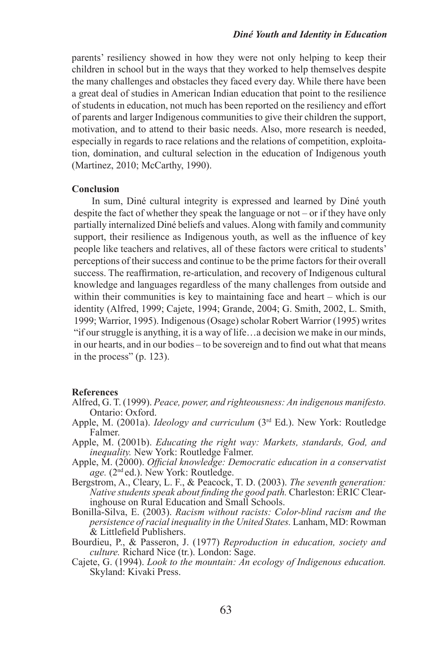parents' resiliency showed in how they were not only helping to keep their children in school but in the ways that they worked to help themselves despite the many challenges and obstacles they faced every day. While there have been a great deal of studies in American Indian education that point to the resilience of students in education, not much has been reported on the resiliency and effort of parents and larger Indigenous communities to give their children the support, motivation, and to attend to their basic needs. Also, more research is needed, especially in regards to race relations and the relations of competition, exploitation, domination, and cultural selection in the education of Indigenous youth (Martinez, 2010; McCarthy, 1990).

# **Conclusion**

In sum, Diné cultural integrity is expressed and learned by Diné youth despite the fact of whether they speak the language or not – or if they have only partially internalized Diné beliefs and values. Along with family and community support, their resilience as Indigenous youth, as well as the influence of key people like teachers and relatives, all of these factors were critical to students' perceptions of their success and continue to be the prime factors for their overall success. The reaffirmation, re-articulation, and recovery of Indigenous cultural knowledge and languages regardless of the many challenges from outside and within their communities is key to maintaining face and heart – which is our identity (Alfred, 1999; Cajete, 1994; Grande, 2004; G. Smith, 2002, L. Smith, 1999; Warrior, 1995). Indigenous (Osage) scholar Robert Warrior (1995) writes "if our struggle is anything, it is a way of life…a decision we make in our minds, in our hearts, and in our bodies – to be sovereign and to find out what that means in the process" (p. 123).

## **References**

- Alfred, G. T. (1999). *Peace, power, and righteousness: An indigenous manifesto.*  Ontario: Oxford.
- Apple, M. (2001a). *Ideology and curriculum* (3<sup>rd</sup> Ed.). New York: Routledge Falmer.
- Apple, M. (2001b). *Educating the right way: Markets, standards, God, and inequality.* New York: Routledge Falmer.
- Apple, M. (2000). *Official knowledge: Democratic education in a conservatist age.* (2nd ed.). New York: Routledge.
- Bergstrom, A., Cleary, L. F., & Peacock, T. D. (2003). *The seventh generation: Native students speak about finding the good path.* Charleston: ERIC Clearinghouse on Rural Education and Small Schools.
- Bonilla-Silva, E. (2003). *Racism without racists: Color-blind racism and the persistence of racial inequality in the United States.* Lanham, MD: Rowman & Littlefield Publishers.
- Bourdieu, P., & Passeron, J. (1977) *Reproduction in education, society and culture.* Richard Nice (tr.). London: Sage.
- Cajete, G. (1994). *Look to the mountain: An ecology of Indigenous education.*  Skyland: Kivaki Press.